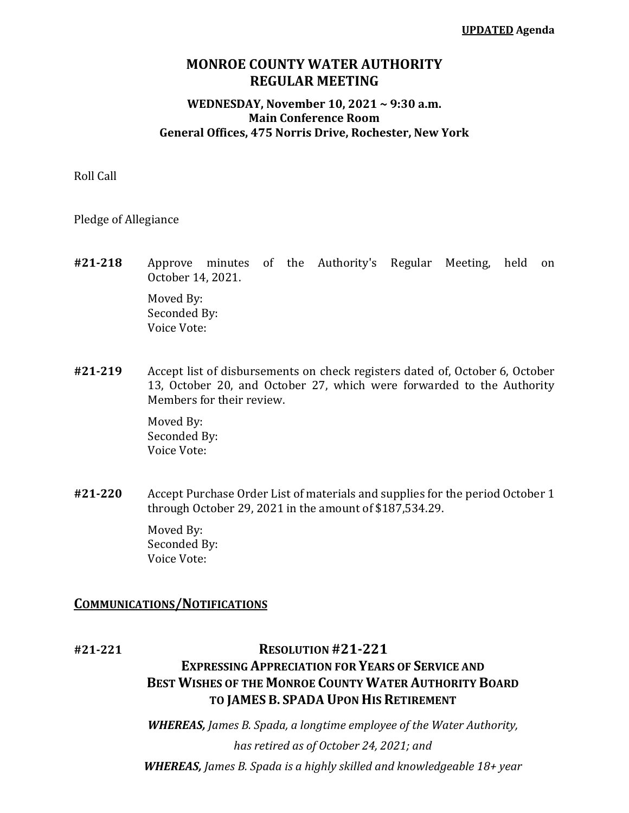### **MONROE COUNTY WATER AUTHORITY REGULAR MEETING**

#### **WEDNESDAY, November 10, 2021 ~ 9:30 a.m. Main Conference Room General Offices, 475 Norris Drive, Rochester, New York**

Roll Call

Pledge of Allegiance

**#21-218** Approve minutes of the Authority's Regular Meeting, held on October 14, 2021.

Moved By: Seconded By: Voice Vote:

**#21-219** Accept list of disbursements on check registers dated of, October 6, October 13, October 20, and October 27, which were forwarded to the Authority Members for their review.

> Moved By: Seconded By: Voice Vote:

**#21-220** Accept Purchase Order List of materials and supplies for the period October 1 through October 29, 2021 in the amount of \$187,534.29.

> Moved By: Seconded By: Voice Vote:

### **COMMUNICATIONS/NOTIFICATIONS**

# **#21-221 RESOLUTION #21-221 EXPRESSING APPRECIATION FOR YEARS OF SERVICE AND BEST WISHES OF THE MONROE COUNTY WATER AUTHORITY BOARD TO JAMES B. SPADA UPON HIS RETIREMENT**

*WHEREAS, James B. Spada, a longtime employee of the Water Authority, has retired as of October 24, 2021; and WHEREAS, James B. Spada is a highly skilled and knowledgeable 18+ year*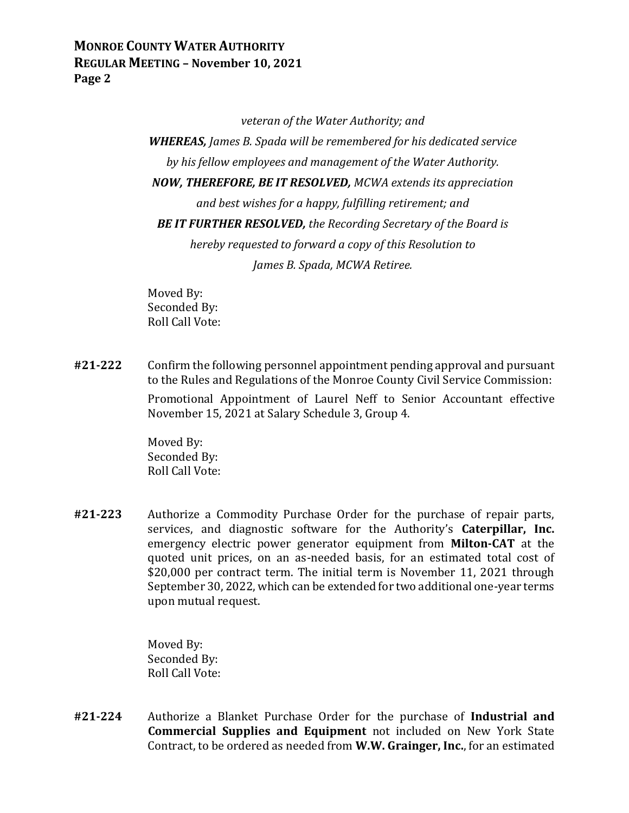*veteran of the Water Authority; and*

*WHEREAS, James B. Spada will be remembered for his dedicated service by his fellow employees and management of the Water Authority. NOW, THEREFORE, BE IT RESOLVED, MCWA extends its appreciation and best wishes for a happy, fulfilling retirement; and BE IT FURTHER RESOLVED, the Recording Secretary of the Board is hereby requested to forward a copy of this Resolution to James B. Spada, MCWA Retiree.*

Moved By: Seconded By: Roll Call Vote:

**#21-222** Confirm the following personnel appointment pending approval and pursuant to the Rules and Regulations of the Monroe County Civil Service Commission:

> Promotional Appointment of Laurel Neff to Senior Accountant effective November 15, 2021 at Salary Schedule 3, Group 4.

Moved By: Seconded By: Roll Call Vote:

**#21-223** Authorize a Commodity Purchase Order for the purchase of repair parts, services, and diagnostic software for the Authority's **Caterpillar, Inc.** emergency electric power generator equipment from **Milton-CAT** at the quoted unit prices, on an as-needed basis, for an estimated total cost of \$20,000 per contract term. The initial term is November 11, 2021 through September 30, 2022, which can be extended for two additional one-year terms upon mutual request.

> Moved By: Seconded By: Roll Call Vote:

**#21-224** Authorize a Blanket Purchase Order for the purchase of **Industrial and Commercial Supplies and Equipment** not included on New York State Contract, to be ordered as needed from **W.W. Grainger, Inc.**, for an estimated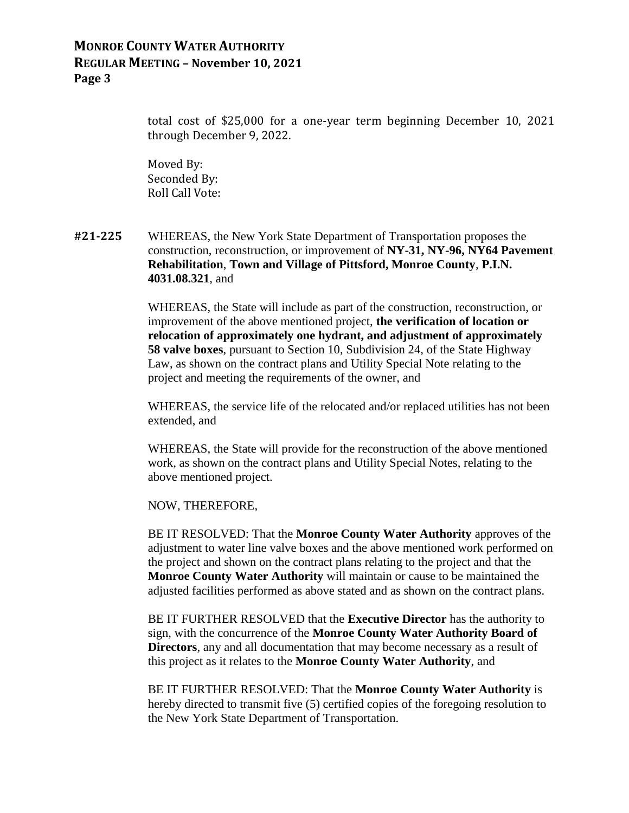total cost of \$25,000 for a one-year term beginning December 10, 2021 through December 9, 2022.

Moved By: Seconded By: Roll Call Vote:

**#21-225** WHEREAS, the New York State Department of Transportation proposes the construction, reconstruction, or improvement of **NY-31, NY-96, NY64 Pavement Rehabilitation**, **Town and Village of Pittsford, Monroe County**, **P.I.N. 4031.08.321**, and

> WHEREAS, the State will include as part of the construction, reconstruction, or improvement of the above mentioned project, **the verification of location or relocation of approximately one hydrant, and adjustment of approximately 58 valve boxes**, pursuant to Section 10, Subdivision 24, of the State Highway Law, as shown on the contract plans and Utility Special Note relating to the project and meeting the requirements of the owner, and

WHEREAS, the service life of the relocated and/or replaced utilities has not been extended, and

WHEREAS, the State will provide for the reconstruction of the above mentioned work, as shown on the contract plans and Utility Special Notes, relating to the above mentioned project.

NOW, THEREFORE,

BE IT RESOLVED: That the **Monroe County Water Authority** approves of the adjustment to water line valve boxes and the above mentioned work performed on the project and shown on the contract plans relating to the project and that the **Monroe County Water Authority** will maintain or cause to be maintained the adjusted facilities performed as above stated and as shown on the contract plans.

BE IT FURTHER RESOLVED that the **Executive Director** has the authority to sign, with the concurrence of the **Monroe County Water Authority Board of Directors**, any and all documentation that may become necessary as a result of this project as it relates to the **Monroe County Water Authority**, and

BE IT FURTHER RESOLVED: That the **Monroe County Water Authority** is hereby directed to transmit five (5) certified copies of the foregoing resolution to the New York State Department of Transportation.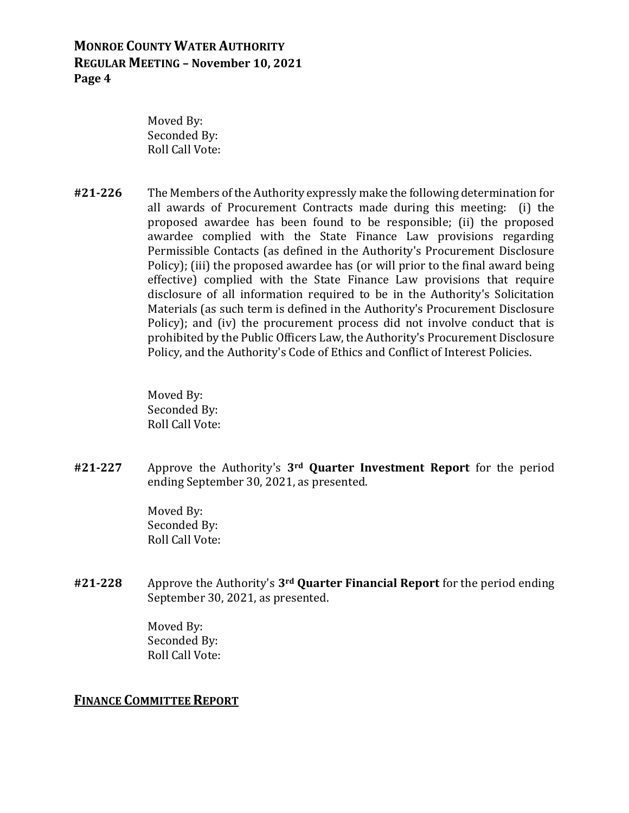Moved By: Seconded By: Roll Call Vote:

**#21-226** The Members of the Authority expressly make the following determination for all awards of Procurement Contracts made during this meeting: (i) the proposed awardee has been found to be responsible; (ii) the proposed awardee complied with the State Finance Law provisions regarding Permissible Contacts (as defined in the Authority's Procurement Disclosure Policy); (iii) the proposed awardee has (or will prior to the final award being effective) complied with the State Finance Law provisions that require disclosure of all information required to be in the Authority's Solicitation Materials (as such term is defined in the Authority's Procurement Disclosure Policy); and (iv) the procurement process did not involve conduct that is prohibited by the Public Officers Law, the Authority's Procurement Disclosure Policy, and the Authority's Code of Ethics and Conflict of Interest Policies.

> Moved By: Seconded By: Roll Call Vote:

**#21-227** Approve the Authority's **3rd Quarter Investment Report** for the period ending September 30, 2021, as presented.

> Moved By: Seconded By: Roll Call Vote:

**#21-228** Approve the Authority's **3rd Quarter Financial Report** for the period ending September 30, 2021, as presented.

> Moved By: Seconded By: Roll Call Vote:

#### **FINANCE COMMITTEE REPORT**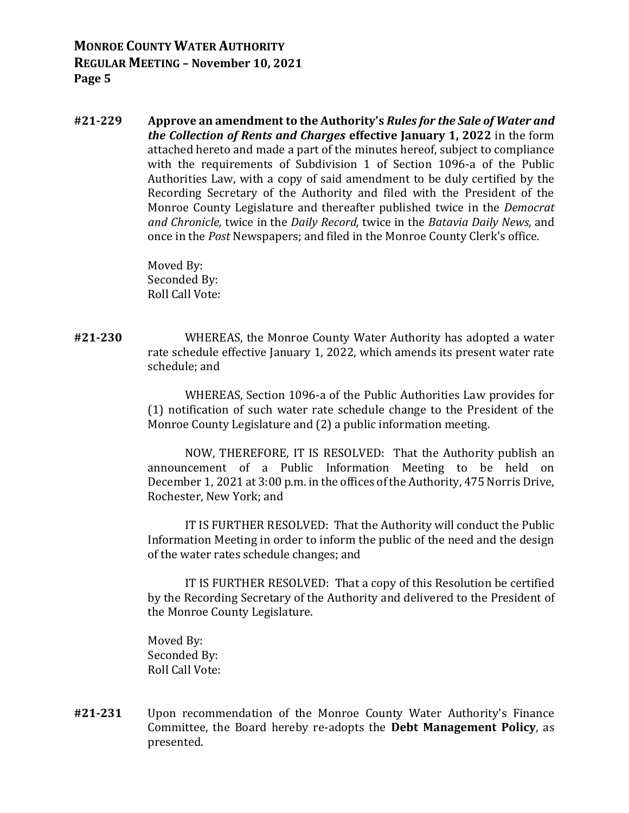**#21-229 Approve an amendment to the Authority's** *Rules for the Sale of Water and the Collection of Rents and Charges* **effective January 1, 2022** in the form attached hereto and made a part of the minutes hereof, subject to compliance with the requirements of Subdivision 1 of Section 1096-a of the Public Authorities Law, with a copy of said amendment to be duly certified by the Recording Secretary of the Authority and filed with the President of the Monroe County Legislature and thereafter published twice in the *Democrat and Chronicle,* twice in the *Daily Record,* twice in the *Batavia Daily News,* and once in the *Post* Newspapers; and filed in the Monroe County Clerk's office.

> Moved By: Seconded By: Roll Call Vote:

**#21-230** WHEREAS, the Monroe County Water Authority has adopted a water rate schedule effective January 1, 2022, which amends its present water rate schedule; and

> WHEREAS, Section 1096-a of the Public Authorities Law provides for (1) notification of such water rate schedule change to the President of the Monroe County Legislature and (2) a public information meeting.

> NOW, THEREFORE, IT IS RESOLVED: That the Authority publish an announcement of a Public Information Meeting to be held on December 1, 2021 at 3:00 p.m. in the offices of the Authority, 475 Norris Drive, Rochester, New York; and

> IT IS FURTHER RESOLVED: That the Authority will conduct the Public Information Meeting in order to inform the public of the need and the design of the water rates schedule changes; and

> IT IS FURTHER RESOLVED: That a copy of this Resolution be certified by the Recording Secretary of the Authority and delivered to the President of the Monroe County Legislature.

Moved By: Seconded By: Roll Call Vote:

**#21-231** Upon recommendation of the Monroe County Water Authority's Finance Committee, the Board hereby re-adopts the **Debt Management Policy**, as presented.